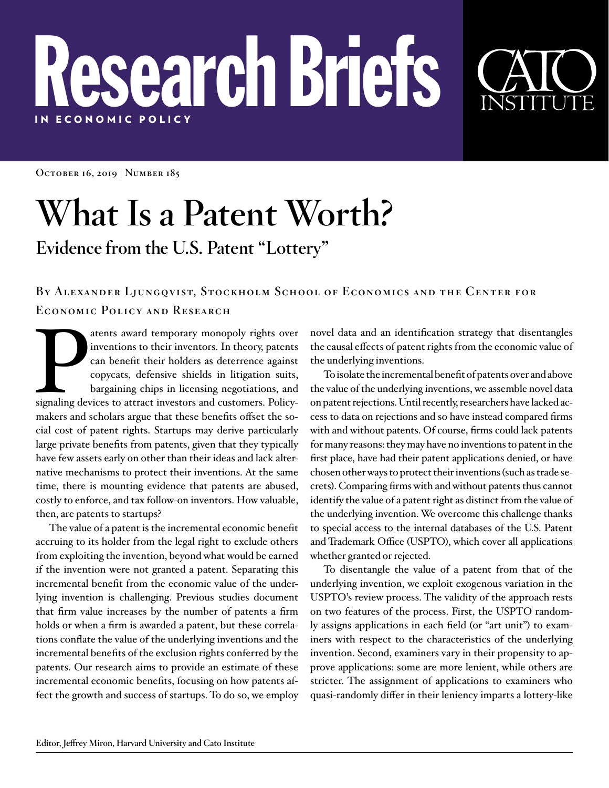## Research Briefs IN E C ONOMIC POLICY

**October 16, 2019 | Number 185**

## **What Is a Patent Worth?**

**Evidence from the U.S. Patent "Lottery"** 

## **By Alexander Ljungqvist, Stockholm School of Economics and the Center for Economic Policy and Research**

atents award temporary monopoly rights over<br>
inventions to their inventors. In theory, patents<br>
can benefit their holders as deterrence against<br>
copycats, defensive shields in litigation suits,<br>
bargaining chips in licensi inventions to their inventors. In theory, patents can benefit their holders as deterrence against copycats, defensive shields in litigation suits, bargaining chips in licensing negotiations, and makers and scholars argue that these benefits offset the social cost of patent rights. Startups may derive particularly large private benefits from patents, given that they typically have few assets early on other than their ideas and lack alternative mechanisms to protect their inventions. At the same time, there is mounting evidence that patents are abused, costly to enforce, and tax follow-on inventors. How valuable, then, are patents to startups?

The value of a patent is the incremental economic benefit accruing to its holder from the legal right to exclude others from exploiting the invention, beyond what would be earned if the invention were not granted a patent. Separating this incremental benefit from the economic value of the underlying invention is challenging. Previous studies document that firm value increases by the number of patents a firm holds or when a firm is awarded a patent, but these correlations conflate the value of the underlying inventions and the incremental benefits of the exclusion rights conferred by the patents. Our research aims to provide an estimate of these incremental economic benefits, focusing on how patents affect the growth and success of startups. To do so, we employ

novel data and an identification strategy that disentangles the causal effects of patent rights from the economic value of the underlying inventions.

To isolate the incremental benefit of patents over and above the value of the underlying inventions, we assemble novel data on patent rejections. Until recently, researchers have lacked access to data on rejections and so have instead compared firms with and without patents. Of course, firms could lack patents for many reasons: they may have no inventions to patent in the first place, have had their patent applications denied, or have chosen other ways to protect their inventions (such as trade secrets). Comparing firms with and without patents thus cannot identify the value of a patent right as distinct from the value of the underlying invention. We overcome this challenge thanks to special access to the internal databases of the U.S. Patent and Trademark Office (USPTO), which cover all applications whether granted or rejected.

To disentangle the value of a patent from that of the underlying invention, we exploit exogenous variation in the USPTO's review process. The validity of the approach rests on two features of the process. First, the USPTO randomly assigns applications in each field (or "art unit") to examiners with respect to the characteristics of the underlying invention. Second, examiners vary in their propensity to approve applications: some are more lenient, while others are stricter. The assignment of applications to examiners who quasi-randomly differ in their leniency imparts a lottery-like